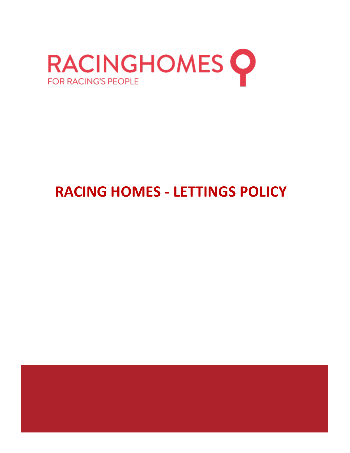

# **RACING HOMES - LETTINGS POLICY**

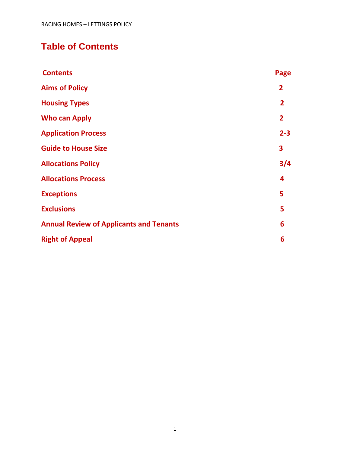# **Table of Contents**

| <b>Contents</b>                                | Page           |
|------------------------------------------------|----------------|
| <b>Aims of Policy</b>                          | $\overline{2}$ |
| <b>Housing Types</b>                           | $\overline{2}$ |
| <b>Who can Apply</b>                           | $\overline{2}$ |
| <b>Application Process</b>                     | $2 - 3$        |
| <b>Guide to House Size</b>                     | 3              |
| <b>Allocations Policy</b>                      | 3/4            |
| <b>Allocations Process</b>                     | 4              |
| <b>Exceptions</b>                              | 5              |
| <b>Exclusions</b>                              | 5              |
| <b>Annual Review of Applicants and Tenants</b> | 6              |
| <b>Right of Appeal</b>                         | 6              |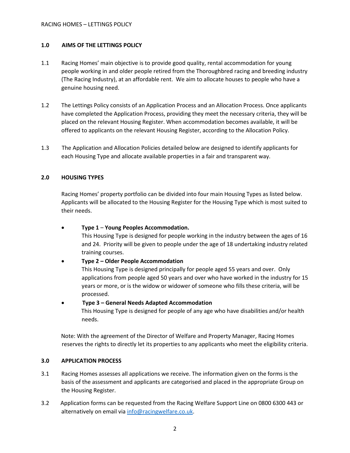#### **1.0 AIMS OF THE LETTINGS POLICY**

- 1.1 Racing Homes' main objective is to provide good quality, rental accommodation for young people working in and older people retired from the Thoroughbred racing and breeding industry (The Racing Industry), at an affordable rent. We aim to allocate houses to people who have a genuine housing need.
- 1.2 The Lettings Policy consists of an Application Process and an Allocation Process. Once applicants have completed the Application Process, providing they meet the necessary criteria, they will be placed on the relevant Housing Register. When accommodation becomes available, it will be offered to applicants on the relevant Housing Register, according to the Allocation Policy.
- 1.3 The Application and Allocation Policies detailed below are designed to identify applicants for each Housing Type and allocate available properties in a fair and transparent way.

#### **2.0 HOUSING TYPES**

Racing Homes' property portfolio can be divided into four main Housing Types as listed below. Applicants will be allocated to the Housing Register for the Housing Type which is most suited to their needs.

• **Type 1** – **Young Peoples Accommodation.**

This Housing Type is designed for people working in the industry between the ages of 16 and 24. Priority will be given to people under the age of 18 undertaking industry related training courses.

#### • **Type 2 – Older People Accommodation**

This Housing Type is designed principally for people aged 55 years and over. Only applications from people aged 50 years and over who have worked in the industry for 15 years or more, or is the widow or widower of someone who fills these criteria, will be processed.

#### • **Type 3 – General Needs Adapted Accommodation**

This Housing Type is designed for people of any age who have disabilities and/or health needs.

Note: With the agreement of the Director of Welfare and Property Manager, Racing Homes reserves the rights to directly let its properties to any applicants who meet the eligibility criteria.

#### **3.0 APPLICATION PROCESS**

- 3.1 Racing Homes assesses all applications we receive. The information given on the forms is the basis of the assessment and applicants are categorised and placed in the appropriate Group on the Housing Register.
- 3.2 Application forms can be requested from the Racing Welfare Support Line on 0800 6300 443 or alternatively on email via [info@racingwelfare.co.uk.](mailto:info@racingwelfare.co.uk)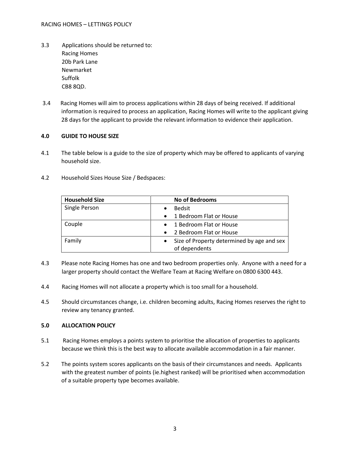- 3.3 Applications should be returned to: Racing Homes 20b Park Lane Newmarket Suffolk CB8 8QD.
- 3.4 Racing Homes will aim to process applications within 28 days of being received. If additional information is required to process an application, Racing Homes will write to the applicant giving 28 days for the applicant to provide the relevant information to evidence their application.

## **4.0 GUIDE TO HOUSE SIZE**

- 4.1 The table below is a guide to the size of property which may be offered to applicants of varying household size.
- 4.2 Household Sizes House Size / Bedspaces:

| <b>Household Size</b> | <b>No of Bedrooms</b>                      |
|-----------------------|--------------------------------------------|
| Single Person         | <b>Bedsit</b>                              |
|                       | 1 Bedroom Flat or House                    |
| Couple                | 1 Bedroom Flat or House                    |
|                       | 2 Bedroom Flat or House                    |
| Family                | Size of Property determined by age and sex |
|                       | of dependents                              |

- 4.3 Please note Racing Homes has one and two bedroom properties only. Anyone with a need for a larger property should contact the Welfare Team at Racing Welfare on 0800 6300 443.
- 4.4 Racing Homes will not allocate a property which is too small for a household.
- 4.5 Should circumstances change, i.e. children becoming adults, Racing Homes reserves the right to review any tenancy granted.

#### **5.0 ALLOCATION POLICY**

- 5.1 Racing Homes employs a points system to prioritise the allocation of properties to applicants because we think this is the best way to allocate available accommodation in a fair manner.
- 5.2 The points system scores applicants on the basis of their circumstances and needs. Applicants with the greatest number of points (ie.highest ranked) will be prioritised when accommodation of a suitable property type becomes available.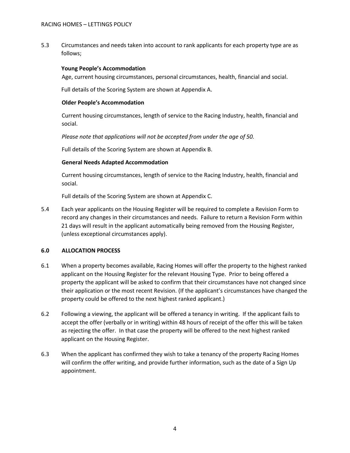5.3 Circumstances and needs taken into account to rank applicants for each property type are as follows;

#### **Young People's Accommodation**

Age, current housing circumstances, personal circumstances, health, financial and social.

Full details of the Scoring System are shown at Appendix A.

#### **Older People's Accommodation**

Current housing circumstances, length of service to the Racing Industry, health, financial and social.

*Please note that applications will not be accepted from under the age of 50.*

Full details of the Scoring System are shown at Appendix B.

#### **General Needs Adapted Accommodation**

Current housing circumstances, length of service to the Racing Industry, health, financial and social.

Full details of the Scoring System are shown at Appendix C.

5.4 Each year applicants on the Housing Register will be required to complete a Revision Form to record any changes in their circumstances and needs. Failure to return a Revision Form within 21 days will result in the applicant automatically being removed from the Housing Register, (unless exceptional circumstances apply).

#### **6.0 ALLOCATION PROCESS**

- 6.1 When a property becomes available, Racing Homes will offer the property to the highest ranked applicant on the Housing Register for the relevant Housing Type. Prior to being offered a property the applicant will be asked to confirm that their circumstances have not changed since their application or the most recent Revision. (If the applicant's circumstances have changed the property could be offered to the next highest ranked applicant.)
- 6.2 Following a viewing, the applicant will be offered a tenancy in writing. If the applicant fails to accept the offer (verbally or in writing) within 48 hours of receipt of the offer this will be taken as rejecting the offer. In that case the property will be offered to the next highest ranked applicant on the Housing Register.
- 6.3 When the applicant has confirmed they wish to take a tenancy of the property Racing Homes will confirm the offer writing, and provide further information, such as the date of a Sign Up appointment.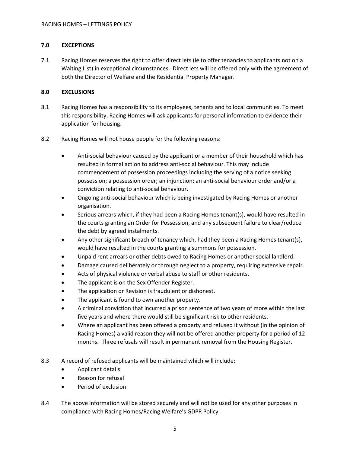#### **7.0 EXCEPTIONS**

7.1 Racing Homes reserves the right to offer direct lets (ie to offer tenancies to applicants not on a Waiting List) in exceptional circumstances. Direct lets will be offered only with the agreement of both the Director of Welfare and the Residential Property Manager.

#### **8.0 EXCLUSIONS**

- 8.1 Racing Homes has a responsibility to its employees, tenants and to local communities. To meet this responsibility, Racing Homes will ask applicants for personal information to evidence their application for housing.
- 8.2 Racing Homes will not house people for the following reasons:
	- Anti-social behaviour caused by the applicant or a member of their household which has resulted in formal action to address anti-social behaviour. This may include commencement of possession proceedings including the serving of a notice seeking possession; a possession order; an injunction; an anti-social behaviour order and/or a conviction relating to anti-social behaviour.
	- Ongoing anti-social behaviour which is being investigated by Racing Homes or another organisation.
	- Serious arrears which, if they had been a Racing Homes tenant(s), would have resulted in the courts granting an Order for Possession, and any subsequent failure to clear/reduce the debt by agreed instalments.
	- Any other significant breach of tenancy which, had they been a Racing Homes tenant(s), would have resulted in the courts granting a summons for possession.
	- Unpaid rent arrears or other debts owed to Racing Homes or another social landlord.
	- Damage caused deliberately or through neglect to a property, requiring extensive repair.
	- Acts of physical violence or verbal abuse to staff or other residents.
	- The applicant is on the Sex Offender Register.
	- The application or Revision is fraudulent or dishonest.
	- The applicant is found to own another property.
	- A criminal conviction that incurred a prison sentence of two years of more within the last five years and where there would still be significant risk to other residents.
	- Where an applicant has been offered a property and refused it without (in the opinion of Racing Homes) a valid reason they will not be offered another property for a period of 12 months. Three refusals will result in permanent removal from the Housing Register.
- 8.3 A record of refused applicants will be maintained which will include:
	- Applicant details
	- Reason for refusal
	- Period of exclusion
- 8.4 The above information will be stored securely and will not be used for any other purposes in compliance with Racing Homes/Racing Welfare's GDPR Policy.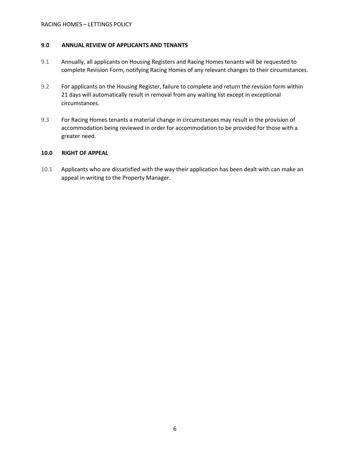#### **9.0 ANNUAL REVIEW OF APPLICANTS AND TENANTS**

- 9.1 Annually, all applicants on Housing Registers and Racing Homes tenants will be requested to complete Revision Form, notifying Racing Homes of any relevant changes to their circumstances.
- 9.2 For applicants on the Housing Register, failure to complete and return the revision form within 21 days will automatically result in removal from any waiting list except in exceptional circumstances.
- 9.3 For Racing Homes tenants a material change in circumstances may result in the provision of accommodation being reviewed in order for accommodation to be provided for those with a greater need.

#### **10.0 RIGHT OF APPEAL**

10.1 Applicants who are dissatisfied with the way their application has been dealt with can make an appeal in writing to the Property Manager.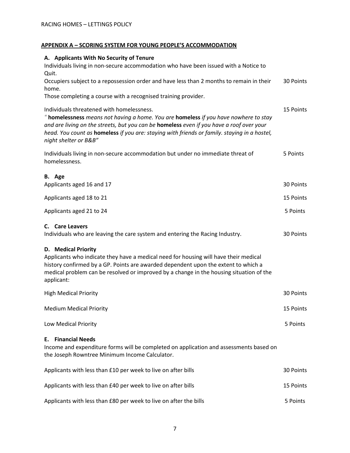# RACING HOMES – LETTINGS POLICY

# **APPENDIX A – SCORING SYSTEM FOR YOUNG PEOPLE'S ACCOMMODATION**

| A. Applicants With No Security of Tenure<br>Individuals living in non-secure accommodation who have been issued with a Notice to                                                                                                                                                                                                                       |           |
|--------------------------------------------------------------------------------------------------------------------------------------------------------------------------------------------------------------------------------------------------------------------------------------------------------------------------------------------------------|-----------|
| Quit.<br>Occupiers subject to a repossession order and have less than 2 months to remain in their<br>home.<br>Those completing a course with a recognised training provider.                                                                                                                                                                           | 30 Points |
| Individuals threatened with homelessness.<br>" homelessness means not having a home. You are homeless if you have nowhere to stay<br>and are living on the streets, but you can be homeless even if you have a roof over your<br>head. You count as homeless if you are: staying with friends or family. staying in a hostel,<br>night shelter or B&B" | 15 Points |
| Individuals living in non-secure accommodation but under no immediate threat of<br>homelessness.                                                                                                                                                                                                                                                       | 5 Points  |
| B. Age<br>Applicants aged 16 and 17                                                                                                                                                                                                                                                                                                                    | 30 Points |
| Applicants aged 18 to 21                                                                                                                                                                                                                                                                                                                               | 15 Points |
| Applicants aged 21 to 24                                                                                                                                                                                                                                                                                                                               | 5 Points  |
| C. Care Leavers<br>Individuals who are leaving the care system and entering the Racing Industry.                                                                                                                                                                                                                                                       | 30 Points |
| D. Medical Priority<br>Applicants who indicate they have a medical need for housing will have their medical<br>history confirmed by a GP. Points are awarded dependent upon the extent to which a<br>medical problem can be resolved or improved by a change in the housing situation of the<br>applicant:                                             |           |
| <b>High Medical Priority</b>                                                                                                                                                                                                                                                                                                                           | 30 Points |
| <b>Medium Medical Priority</b>                                                                                                                                                                                                                                                                                                                         | 15 Points |
| Low Medical Priority                                                                                                                                                                                                                                                                                                                                   | 5 Points  |
| <b>Financial Needs</b><br>Е.<br>Income and expenditure forms will be completed on application and assessments based on<br>the Joseph Rowntree Minimum Income Calculator.                                                                                                                                                                               |           |
| Applicants with less than £10 per week to live on after bills                                                                                                                                                                                                                                                                                          | 30 Points |
| Applicants with less than £40 per week to live on after bills                                                                                                                                                                                                                                                                                          | 15 Points |
| Applicants with less than £80 per week to live on after the bills                                                                                                                                                                                                                                                                                      | 5 Points  |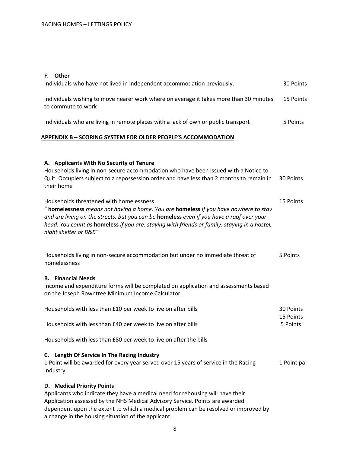# **F. Other**

| Individuals who have not lived in independent accommodation previously.                                                                                                                                                                                                                                                                              | 30 Points              |
|------------------------------------------------------------------------------------------------------------------------------------------------------------------------------------------------------------------------------------------------------------------------------------------------------------------------------------------------------|------------------------|
| Individuals wishing to move nearer work where on average it takes more than 30 minutes<br>to commute to work                                                                                                                                                                                                                                         | 15 Points              |
| Individuals who are living in remote places with a lack of own or public transport                                                                                                                                                                                                                                                                   | 5 Points               |
| <b>APPENDIX B - SCORING SYSTEM FOR OLDER PEOPLE'S ACCOMMODATION</b>                                                                                                                                                                                                                                                                                  |                        |
| A. Applicants With No Security of Tenure<br>Households living in non-secure accommodation who have been issued with a Notice to<br>Quit. Occupiers subject to a repossession order and have less than 2 months to remain in<br>their home                                                                                                            | 30 Points              |
| Households threatened with homelessness<br>" homelessness means not having a home. You are homeless if you have nowhere to stay<br>and are living on the streets, but you can be homeless even if you have a roof over your<br>head. You count as homeless if you are: staying with friends or family. staying in a hostel,<br>night shelter or B&B" | 15 Points              |
| Households living in non-secure accommodation but under no immediate threat of<br>homelessness                                                                                                                                                                                                                                                       | 5 Points               |
| <b>B.</b> Financial Needs<br>Income and expenditure forms will be completed on application and assessments based<br>on the Joseph Rowntree Minimum Income Calculator:                                                                                                                                                                                |                        |
| Households with less than £10 per week to live on after bills                                                                                                                                                                                                                                                                                        | 30 Points<br>15 Points |
| Households with less than £40 per week to live on after bills                                                                                                                                                                                                                                                                                        | 5 Points               |
| Households with less than £80 per week to live on after the bills                                                                                                                                                                                                                                                                                    |                        |
| C. Length Of Service In The Racing Industry<br>1 Point will be awarded for every year served over 15 years of service in the Racing<br>Industry.                                                                                                                                                                                                     | 1 Point pa             |
| <b>D.</b> Medical Priority Points<br>Applicants who indicate they have a medical need for rehousing will have their<br>Application assessed by the NHS Medical Advisory Service. Points are awarded<br>dependent upon the extent to which a medical problem can be resolved or improved by<br>a change in the housing situation of the applicant.    |                        |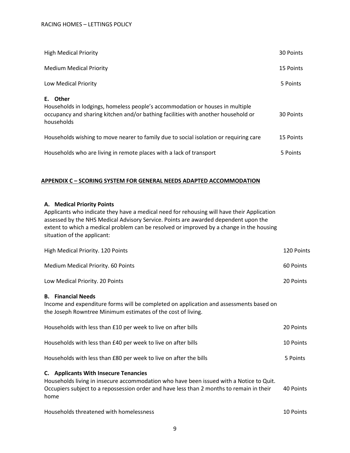| <b>High Medical Priority</b>                                                                                                                                                                    | 30 Points |
|-------------------------------------------------------------------------------------------------------------------------------------------------------------------------------------------------|-----------|
| <b>Medium Medical Priority</b>                                                                                                                                                                  | 15 Points |
| Low Medical Priority                                                                                                                                                                            | 5 Points  |
| Other<br>Е.<br>Households in lodgings, homeless people's accommodation or houses in multiple<br>occupancy and sharing kitchen and/or bathing facilities with another household or<br>households | 30 Points |
| Households wishing to move nearer to family due to social isolation or requiring care                                                                                                           | 15 Points |
| Households who are living in remote places with a lack of transport                                                                                                                             | 5 Points  |

#### **APPENDIX C – SCORING SYSTEM FOR GENERAL NEEDS ADAPTED ACCOMMODATION**

#### **A. Medical Priority Points**

Applicants who indicate they have a medical need for rehousing will have their Application assessed by the NHS Medical Advisory Service. Points are awarded dependent upon the extent to which a medical problem can be resolved or improved by a change in the housing situation of the applicant:

| High Medical Priority. 120 Points                                                                                                                                                                                                    | 120 Points |
|--------------------------------------------------------------------------------------------------------------------------------------------------------------------------------------------------------------------------------------|------------|
| Medium Medical Priority. 60 Points                                                                                                                                                                                                   | 60 Points  |
| Low Medical Priority. 20 Points                                                                                                                                                                                                      | 20 Points  |
| <b>B.</b> Financial Needs<br>Income and expenditure forms will be completed on application and assessments based on<br>the Joseph Rowntree Minimum estimates of the cost of living.                                                  |            |
| Households with less than £10 per week to live on after bills                                                                                                                                                                        | 20 Points  |
| Households with less than £40 per week to live on after bills                                                                                                                                                                        | 10 Points  |
| Households with less than £80 per week to live on after the bills                                                                                                                                                                    | 5 Points   |
| C. Applicants With Insecure Tenancies<br>Households living in insecure accommodation who have been issued with a Notice to Quit.<br>Occupiers subject to a repossession order and have less than 2 months to remain in their<br>home | 40 Points  |
| Households threatened with homelessness                                                                                                                                                                                              | 10 Points  |